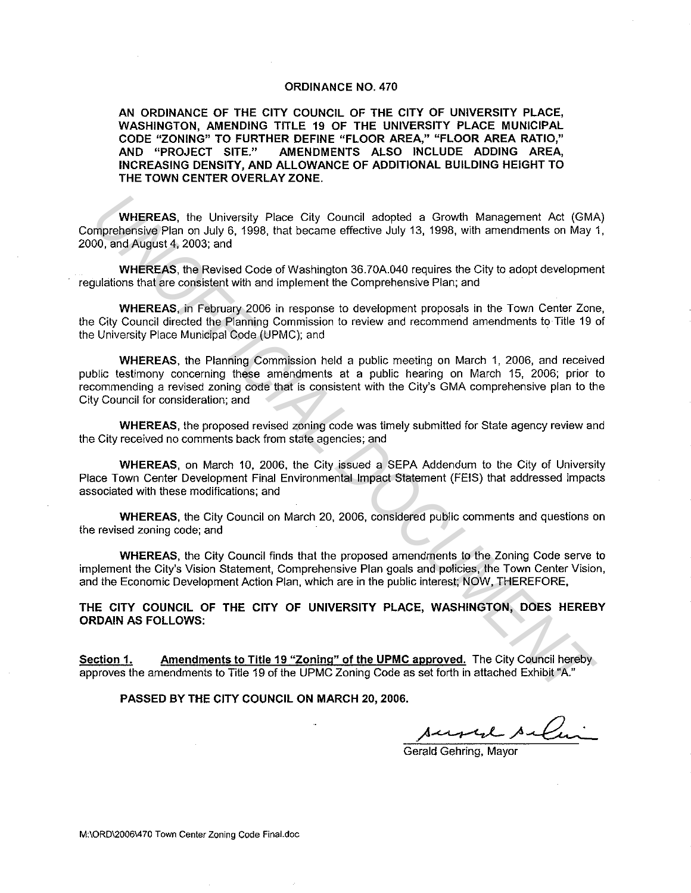#### **ORDINANCE NO. 470**

**AN ORDINANCE OF THE CITY COUNCIL OF THE CITY OF UNIVERSITY PLACE, WASHINGTON, AMENDING TITLE 19 OF THE UNIVERSITY PLACE MUNICIPAL CODE "ZONING" TO FURTHER DEFINE "FLOOR AREA," "FLOOR AREA RATIO,"**  AMENDMENTS ALSO INCLUDE ADDING AREA, **INCREASING DENSITY, AND ALLOWANCE OF ADDITIONAL BUILDING HEIGHT TO THE TOWN CENTER OVERLAY ZONE.** 

**WHEREAS,** the University Place City Council adopted a Growth Management Act (GMA) Comprehensive Plan on July 6, 1998. that became effective July 13, 1998, with amendments on May 1, 2000, and August 4. 2003; and

**WHEREAS.** the Revised Code of Washington 36.70A.040 requires the City to adopt development regulations that are consistent with and implement the Comprehensive Plan; and

**WHEREAS,** in February 2006 in response to development proposals in the Town Center Zone. the City Council directed the Planning Commission to review and recommend amendments to Title 19 of the University Place Municipal Code (UPMC); and

**WHEREAS,** the Planning Commission held a public meeting on March 1. 2006, and received public testimony concerning these amendments at a public hearing on March 15, 2006; prior to recommending a revised zoning code that is consistent with the City's GMA comprehensive plan lo the City Council for consideration; and **WHEREAS.** the University Piece City Council adopted a Growth Management Act (GM)<br>mprehensive Plan on July 6, 1998, that became effective July 13, 1998, with amendments on May<br>00, and August 4, 2003; and<br>2003, and WHEREAS,

**WHEREAS,** the proposed revised zoning code was timely submitted for State agency review and the City received no comments back from state agencies; and

**WHEREAS,** on March 10, 2006, the City issued a SEPA Addendum to the City of University Place Town Center Development Final Environmental Impact Statement (FEIS) that addressed impacts associated with these modifications; and

**WHEREAS,** the City Council on March 20, 2006, considered public comments and questions on the revised zoning code; and

**WHEREAS,** the City Council finds that the proposed amendments to the Zoning Code serve to implement the City's Vision Statement, Comprehensive Plan goals and policies, the Town Center Vision, and the Economic Development Action Plan, which are in the public interest; NOW, THEREFORE,

**THE CITY COUNCIL OF THE CITY OF UNIVERSITY PLACE, WASHINGTON, DOES HEREBY ORDAIN AS FOLLOWS:** 

**Section 1. Amendments to Title 19 "Zoning" of the UPMC approved.** The City Council hereby approves the amendments to Title 19 of the UPMC Zoning Code as set forth in attached Exhibit "A."

**PASSED BY THE CITY COUNCIL ON MARCH 20, 2006.** 

sured selai

Gerald Gehring, Mayor

M:\ORD\20061470 Town Center Zoning Code Final.doc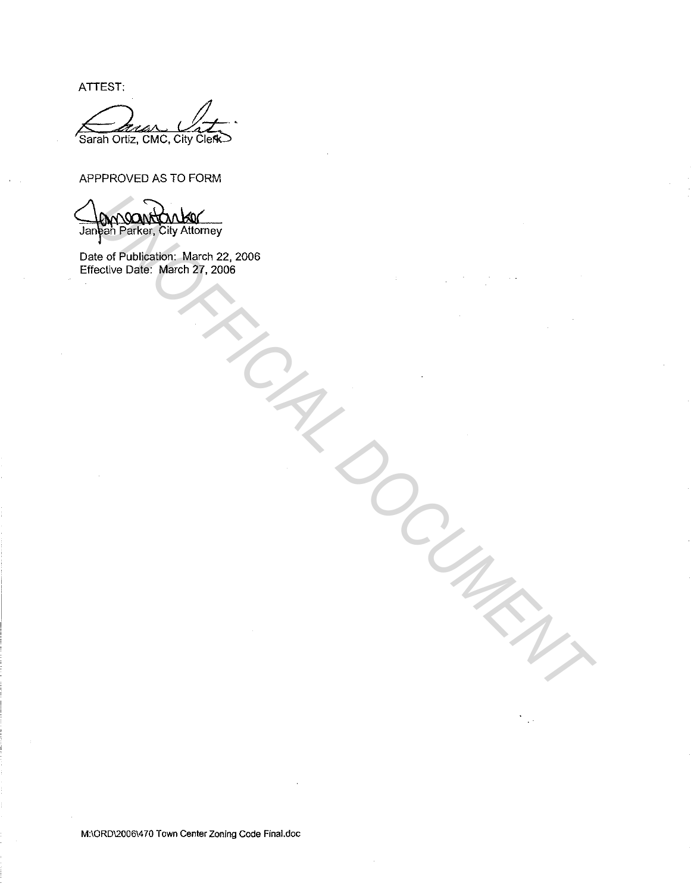ATTEST:

Sarah Ortiz, CMC, City Clerk

## APPPROVED AS TO FORM

**UNOFFICIAL DELANDER DUAL DEL**<br>
Marin Brancher, City Atlantiney<br>
10: of Publiscalor: March 22, 2006<br>
Pective Date: March 27, 2006<br>
All March 27, 2006<br>
All March 27, 2006

Date of Publication: March 22, 2006 Effective Date: March 27, 2006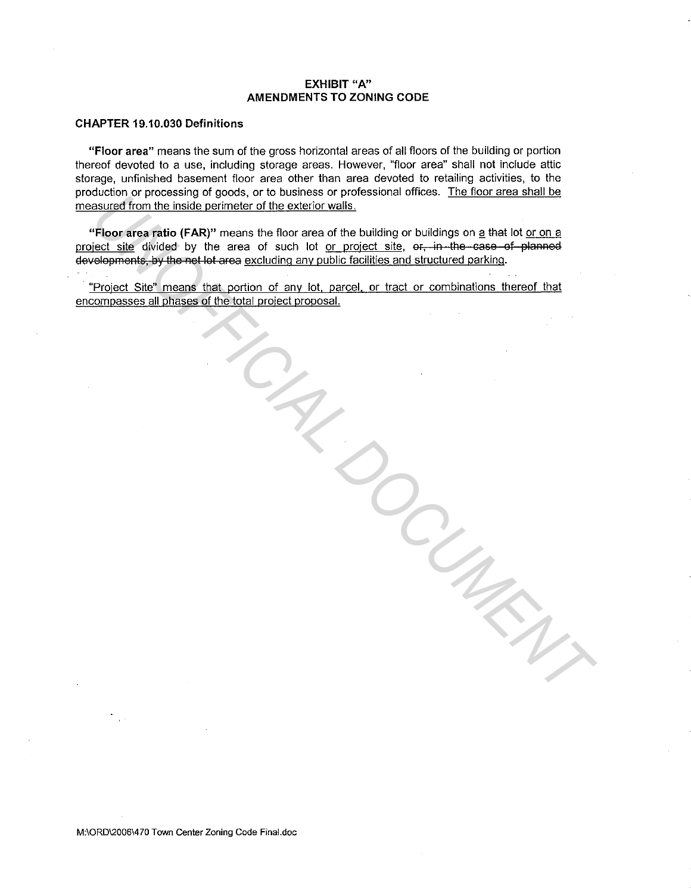#### **EXHIBIT "A" AMENDMENTS TO ZONING CODE**

### **CHAPTER 19.10.030 Definitions**

**"Floor area"** means the sum of the gross horizontal areas of all floors of the building or portion thereof devoted to a use, including storage areas. However, "floor area" shall not include attic storage, unfinished basement floor area other than area devoted to retailing activities, to the production or processing of goods, or to business or professional offices. The floor area shall be measured from the inside perimeter of the exterior walls.

"Floor area ratio (FAR)" means the floor area of the building or buildings on a that lot or on a project site divided by the area of such lot or project site, or, in the case of planned developments, by the net lot area excluding any public facilities and structured parking. **UNION** process in the box of the building of buildings on a that of the transfer of the exist of the building of buildings on a that lot or on a<br>**Theor area falt** (FAR)" means the floor area of the building or buildings o

· "Project Site" means that portion of any lot, parcel, or tract or combinations thereof that encompasses all phases of the total project proposal.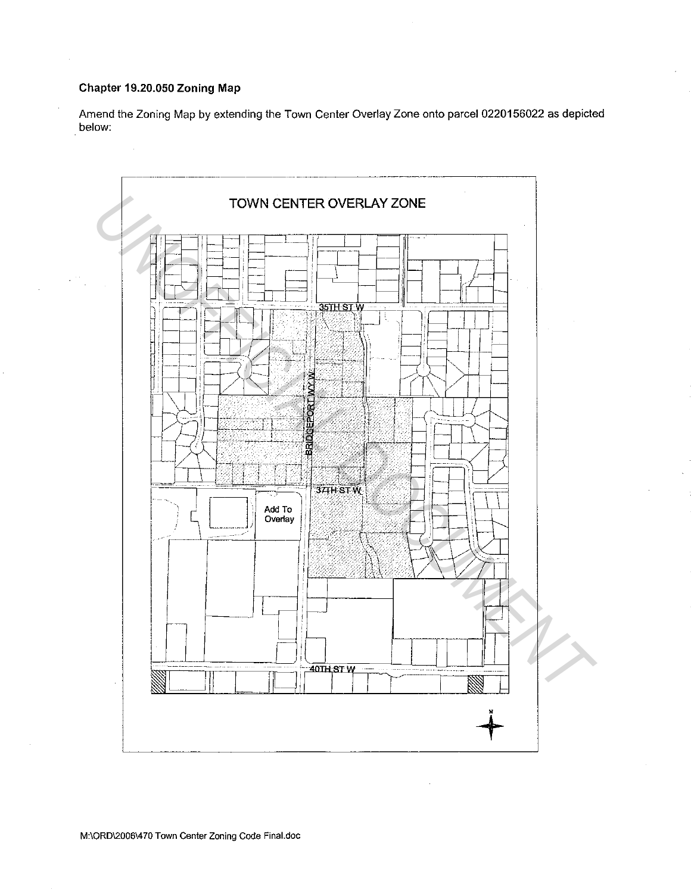# Chapter 19.20.050 Zoning Map

Amend the Zoning Map by extending the Town Center Overlay Zone onto parcel 0220156022 as depicted below: